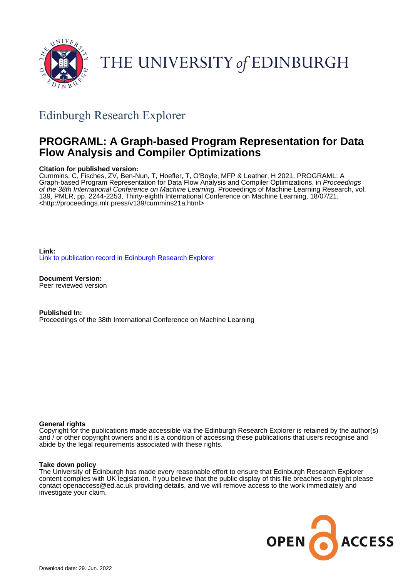

# THE UNIVERSITY of EDINBURGH

## Edinburgh Research Explorer

## **PROGRAML: A Graph-based Program Representation for Data Flow Analysis and Compiler Optimizations**

#### **Citation for published version:**

Cummins, C, Fisches, ZV, Ben-Nun, T, Hoefler, T, O'Boyle, MFP & Leather, H 2021, PROGRAML: A Graph-based Program Representation for Data Flow Analysis and Compiler Optimizations. in Proceedings of the 38th International Conference on Machine Learning. Proceedings of Machine Learning Research, vol. 139, PMLR, pp. 2244-2253, Thirty-eighth International Conference on Machine Learning, 18/07/21. <[http://proceedings.mlr.press/v139/cummins21a.html>](http://proceedings.mlr.press/v139/cummins21a.html)

**Link:** [Link to publication record in Edinburgh Research Explorer](https://www.research.ed.ac.uk/en/publications/7d0c1ed8-ef76-4719-89f2-5db8764b68b2)

**Document Version:** Peer reviewed version

**Published In:** Proceedings of the 38th International Conference on Machine Learning

#### **General rights**

Copyright for the publications made accessible via the Edinburgh Research Explorer is retained by the author(s) and / or other copyright owners and it is a condition of accessing these publications that users recognise and abide by the legal requirements associated with these rights.

#### **Take down policy**

The University of Edinburgh has made every reasonable effort to ensure that Edinburgh Research Explorer content complies with UK legislation. If you believe that the public display of this file breaches copyright please contact openaccess@ed.ac.uk providing details, and we will remove access to the work immediately and investigate your claim.

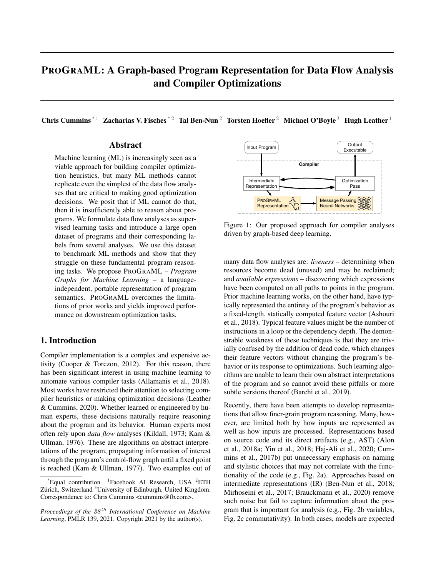### PROGRAML: A Graph-based Program Representation for Data Flow Analysis and Compiler Optimizations

Chris Cummins<sup>\*1</sup> Zacharias V. Fisches<sup>\*2</sup> Tal Ben-Nun<sup>2</sup> Torsten Hoefler<sup>2</sup> Michael O'Boyle<sup>3</sup> Hugh Leather<sup>1</sup>

#### Abstract

Machine learning (ML) is increasingly seen as a viable approach for building compiler optimization heuristics, but many ML methods cannot replicate even the simplest of the data flow analyses that are critical to making good optimization decisions. We posit that if ML cannot do that, then it is insufficiently able to reason about programs. We formulate data flow analyses as supervised learning tasks and introduce a large open dataset of programs and their corresponding labels from several analyses. We use this dataset to benchmark ML methods and show that they struggle on these fundamental program reasoning tasks. We propose PROGRAML – *Program Graphs for Machine Learning* – a languageindependent, portable representation of program semantics. PROGRAML overcomes the limitations of prior works and yields improved performance on downstream optimization tasks.

#### 1. Introduction

Compiler implementation is a complex and expensive activity (Cooper & Torczon, 2012). For this reason, there has been significant interest in using machine learning to automate various compiler tasks (Allamanis et al., 2018). Most works have restricted their attention to selecting compiler heuristics or making optimization decisions (Leather & Cummins, 2020). Whether learned or engineered by human experts, these decisions naturally require reasoning about the program and its behavior. Human experts most often rely upon *data flow* analyses (Kildall, 1973; Kam & Ullman, 1976). These are algorithms on abstract interpretations of the program, propagating information of interest through the program's control-flow graph until a fixed point is reached (Kam & Ullman, 1977). Two examples out of



Figure 1: Our proposed approach for compiler analyses driven by graph-based deep learning.

many data flow analyses are: *liveness* – determining when resources become dead (unused) and may be reclaimed; and *available expressions* – discovering which expressions have been computed on all paths to points in the program. Prior machine learning works, on the other hand, have typically represented the entirety of the program's behavior as a fixed-length, statically computed feature vector (Ashouri et al., 2018). Typical feature values might be the number of instructions in a loop or the dependency depth. The demonstrable weakness of these techniques is that they are trivially confused by the addition of dead code, which changes their feature vectors without changing the program's behavior or its response to optimizations. Such learning algorithms are unable to learn their own abstract interpretations of the program and so cannot avoid these pitfalls or more subtle versions thereof (Barchi et al., 2019).

Recently, there have been attempts to develop representations that allow finer-grain program reasoning. Many, however, are limited both by how inputs are represented as well as how inputs are processed. Representations based on source code and its direct artifacts (e.g., AST) (Alon et al., 2018a; Yin et al., 2018; Haj-Ali et al., 2020; Cummins et al., 2017b) put unnecessary emphasis on naming and stylistic choices that may not correlate with the functionality of the code (e.g., Fig. 2a). Approaches based on intermediate representations (IR) (Ben-Nun et al., 2018; Mirhoseini et al., 2017; Brauckmann et al., 2020) remove such noise but fail to capture information about the program that is important for analysis (e.g., Fig. 2b variables, Fig. 2c commutativity). In both cases, models are expected

 $*$ Equal contribution <sup>1</sup> Facebook AI Research, USA <sup>2</sup> ETH Zürich, Switzerland <sup>3</sup>University of Edinburgh, United Kingdom. Correspondence to: Chris Cummins <cummins@fb.com>.

*Proceedings of the*  $38<sup>th</sup>$  *International Conference on Machine Learning*, PMLR 139, 2021. Copyright 2021 by the author(s).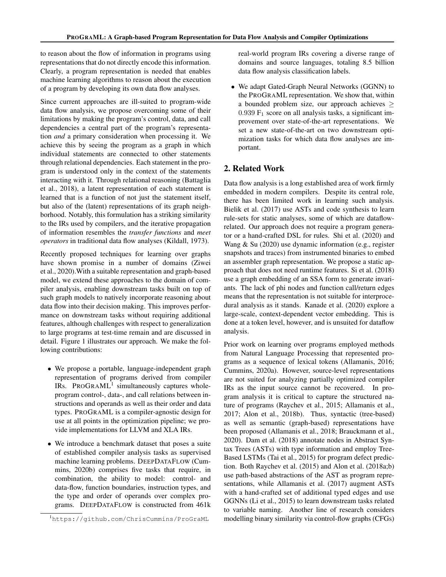to reason about the flow of information in programs using representations that do not directly encode this information. Clearly, a program representation is needed that enables machine learning algorithms to reason about the execution of a program by developing its own data flow analyses.

Since current approaches are ill-suited to program-wide data flow analysis, we propose overcoming some of their limitations by making the program's control, data, and call dependencies a central part of the program's representation *and* a primary consideration when processing it. We achieve this by seeing the program as a graph in which individual statements are connected to other statements through relational dependencies. Each statement in the program is understood only in the context of the statements interacting with it. Through relational reasoning (Battaglia et al., 2018), a latent representation of each statement is learned that is a function of not just the statement itself, but also of the (latent) representations of its graph neighborhood. Notably, this formulation has a striking similarity to the IRs used by compilers, and the iterative propagation of information resembles the *transfer functions* and *meet operators* in traditional data flow analyses (Kildall, 1973).

Recently proposed techniques for learning over graphs have shown promise in a number of domains (Ziwei et al., 2020).With a suitable representation and graph-based model, we extend these approaches to the domain of compiler analysis, enabling downstream tasks built on top of such graph models to natively incorporate reasoning about data flow into their decision making. This improves performance on downstream tasks without requiring additional features, although challenges with respect to generalization to large programs at test-time remain and are discussed in detail. Figure 1 illustrates our approach. We make the following contributions:

- We propose a portable, language-independent graph representation of programs derived from compiler IRs. PROGRAML<sup>1</sup> simultaneously captures wholeprogram control-, data-, and call relations between instructions and operands as well as their order and data types. PROGRAML is a compiler-agnostic design for use at all points in the optimization pipeline; we provide implementations for LLVM and XLA IRs.
- We introduce a benchmark dataset that poses a suite of established compiler analysis tasks as supervised machine learning problems. DEEPDATAFLOW (Cummins, 2020b) comprises five tasks that require, in combination, the ability to model: control- and data-flow, function boundaries, instruction types, and the type and order of operands over complex programs. DEEPDATAFLOW is constructed from 461k

real-world program IRs covering a diverse range of domains and source languages, totaling 8.5 billion data flow analysis classification labels.

• We adapt Gated-Graph Neural Networks (GGNN) to the PROGRAML representation. We show that, within a bounded problem size, our approach achieves  $\geq$  $0.939 \mathrm{F}_1$  score on all analysis tasks, a significant improvement over state-of-the-art representations. We set a new state-of-the-art on two downstream optimization tasks for which data flow analyses are important.

#### 2. Related Work

Data flow analysis is a long established area of work firmly embedded in modern compilers. Despite its central role, there has been limited work in learning such analysis. Bielik et al. (2017) use ASTs and code synthesis to learn rule-sets for static analyses, some of which are dataflowrelated. Our approach does not require a program generator or a hand-crafted DSL for rules. Shi et al. (2020) and Wang & Su (2020) use dynamic information (e.g., register snapshots and traces) from instrumented binaries to embed an assembler graph representation. We propose a static approach that does not need runtime features. Si et al. (2018) use a graph embedding of an SSA form to generate invariants. The lack of phi nodes and function call/return edges means that the representation is not suitable for interprocedural analysis as it stands. Kanade et al. (2020) explore a large-scale, context-dependent vector embedding. This is done at a token level, however, and is unsuited for dataflow analysis.

Prior work on learning over programs employed methods from Natural Language Processing that represented programs as a sequence of lexical tokens (Allamanis, 2016; Cummins, 2020a). However, source-level representations are not suited for analyzing partially optimized compiler IRs as the input source cannot be recovered. In program analysis it is critical to capture the structured nature of programs (Raychev et al., 2015; Allamanis et al., 2017; Alon et al., 2018b). Thus, syntactic (tree-based) as well as semantic (graph-based) representations have been proposed (Allamanis et al., 2018; Brauckmann et al., 2020). Dam et al. (2018) annotate nodes in Abstract Syntax Trees (ASTs) with type information and employ Tree-Based LSTMs (Tai et al., 2015) for program defect prediction. Both Raychev et al. (2015) and Alon et al. (2018a;b) use path-based abstractions of the AST as program representations, while Allamanis et al. (2017) augment ASTs with a hand-crafted set of additional typed edges and use GGNNs (Li et al., 2015) to learn downstream tasks related to variable naming. Another line of research considers modelling binary similarity via control-flow graphs (CFGs)

<sup>1</sup>https://github.com/ChrisCummins/ProGraML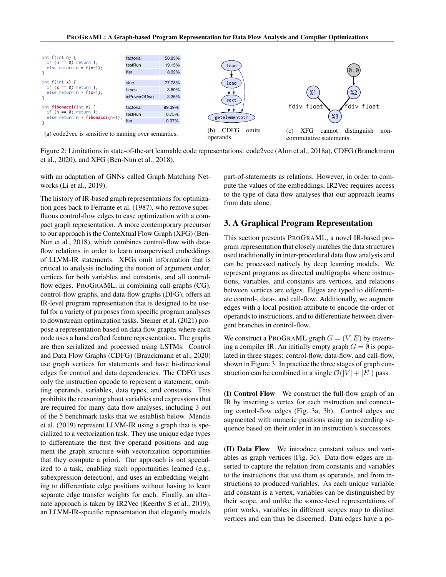

Figure 2: Limitations in state-of-the-art learnable code representations: code2vec (Alon et al., 2018a), CDFG (Brauckmann et al., 2020), and XFG (Ben-Nun et al., 2018).

with an adaptation of GNNs called Graph Matching Networks (Li et al., 2019).

The history of IR-based graph representations for optimization goes back to Ferrante et al. (1987), who remove superfluous control-flow edges to ease optimization with a compact graph representation. A more contemporary precursor to our approach is the ConteXtual Flow Graph (XFG) (Ben-Nun et al., 2018), which combines control-flow with dataflow relations in order to learn unsupervised embeddings of LLVM-IR statements. XFGs omit information that is critical to analysis including the notion of argument order, vertices for both variables and constants, and all controlflow edges. PROGRAML, in combining call-graphs (CG), control-flow graphs, and data-flow graphs (DFG), offers an IR-level program representation that is designed to be useful for a variety of purposes from specific program analyses to downstream optimization tasks. Steiner et al. (2021) propose a representation based on data flow graphs where each node uses a hand crafted feature representation. The graphs are then serialized and processed using LSTMs. Control and Data Flow Graphs (CDFG) (Brauckmann et al., 2020) use graph vertices for statements and have bi-directional edges for control and data dependencies. The CDFG uses only the instruction opcode to represent a statement, omitting operands, variables, data types, and constants. This prohibits the reasoning about variables and expressions that are required for many data flow analyses, including 3 out of the 5 benchmark tasks that we establish below. Mendis et al. (2019) represent LLVM-IR using a graph that is specialized to a vectorization task. They use unique edge types to differentiate the first five operand positions and augment the graph structure with vectorization opportunities that they compute a priori. Our approach is not specialized to a task, enabling such opportunities learned (e.g., subexpression detection), and uses an embedding weighting to differentiate edge positions without having to learn separate edge transfer weights for each. Finally, an alternate approach is taken by IR2Vec (Keerthy S et al., 2019), an LLVM-IR-specific representation that elegantly models

part-of-statements as relations. However, in order to compute the values of the embeddings, IR2Vec requires access to the type of data flow analyses that our approach learns from data alone.

#### 3. A Graphical Program Representation

This section presents PROGRAML, a novel IR-based program representation that closely matches the data structures used traditionally in inter-procedural data flow analysis and can be processed natively by deep learning models. We represent programs as directed multigraphs where instructions, variables, and constants are vertices, and relations between vertices are edges. Edges are typed to differentiate control-, data-, and call-flow. Additionally, we augment edges with a local position attribute to encode the order of operands to instructions, and to differentiate between divergent branches in control-flow.

We construct a PROGRAML graph  $G = (V, E)$  by traversing a compiler IR. An initially empty graph  $G = \emptyset$  is populated in three stages: control-flow, data-flow, and call-flow, shown in Figure 3. In practice the three stages of graph construction can be combined in a single  $\mathcal{O}(|V| + |E|)$  pass.

(I) Control Flow We construct the full-flow graph of an IR by inserting a vertex for each instruction and connecting control-flow edges (Fig. 3a, 3b). Control edges are augmented with numeric positions using an ascending sequence based on their order in an instruction's successors.

(II) Data Flow We introduce constant values and variables as graph vertices (Fig. 3c). Data-flow edges are inserted to capture the relation from constants and variables to the instructions that use them as operands, and from instructions to produced variables. As each unique variable and constant is a vertex, variables can be distinguished by their scope, and unlike the source-level representations of prior works, variables in different scopes map to distinct vertices and can thus be discerned. Data edges have a po-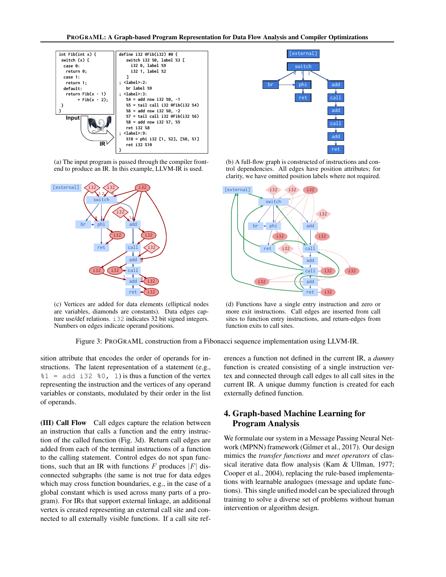

(a) The input program is passed through the compiler frontend to produce an IR. In this example, LLVM-IR is used.



(c) Vertices are added for data elements (elliptical nodes are variables, diamonds are constants). Data edges capture use/def relations. i32 indicates 32 bit signed integers. Numbers on edges indicate operand positions.



(b) A full-flow graph is constructed of instructions and control dependencies. All edges have position attributes; for clarity, we have omitted position labels where not required.



(d) Functions have a single entry instruction and zero or more exit instructions. Call edges are inserted from call sites to function entry instructions, and return-edges from function exits to call sites.

Figure 3: PROGRAML construction from a Fibonacci sequence implementation using LLVM-IR.

sition attribute that encodes the order of operands for instructions. The latent representation of a statement (e.g.,  $\text{81}$  = add i32  $\text{80}$ , 1) is thus a function of the vertex representing the instruction and the vertices of any operand variables or constants, modulated by their order in the list of operands.

(III) Call Flow Call edges capture the relation between an instruction that calls a function and the entry instruction of the called function (Fig. 3d). Return call edges are added from each of the terminal instructions of a function to the calling statement. Control edges do not span functions, such that an IR with functions F produces  $|F|$  disconnected subgraphs (the same is not true for data edges which may cross function boundaries, e.g., in the case of a global constant which is used across many parts of a program). For IRs that support external linkage, an additional vertex is created representing an external call site and connected to all externally visible functions. If a call site references a function not defined in the current IR, a *dummy* function is created consisting of a single instruction vertex and connected through call edges to all call sites in the current IR. A unique dummy function is created for each externally defined function.

#### 4. Graph-based Machine Learning for Program Analysis

We formulate our system in a Message Passing Neural Network (MPNN) framework (Gilmer et al., 2017). Our design mimics the *transfer functions* and *meet operators* of classical iterative data flow analysis (Kam & Ullman, 1977; Cooper et al., 2004), replacing the rule-based implementations with learnable analogues (message and update functions). This single unified model can be specialized through training to solve a diverse set of problems without human intervention or algorithm design.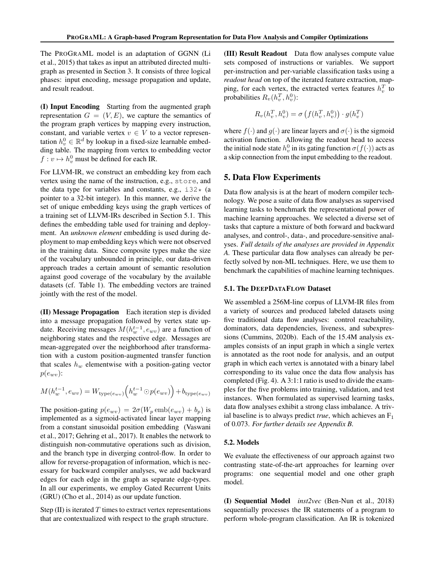The PROGRAML model is an adaptation of GGNN (Li et al., 2015) that takes as input an attributed directed multigraph as presented in Section 3. It consists of three logical phases: input encoding, message propagation and update, and result readout.

(I) Input Encoding Starting from the augmented graph representation  $G = (V, E)$ , we capture the semantics of the program graph vertices by mapping every instruction, constant, and variable vertex  $v \in V$  to a vector representation  $h_v^0 \in \mathbb{R}^d$  by lookup in a fixed-size learnable embedding table. The mapping from vertex to embedding vector  $f: v \mapsto h_v^0$  must be defined for each IR.

For LLVM-IR, we construct an embedding key from each vertex using the name of the instruction, e.g., store, and the data type for variables and constants, e.g.,  $\text{i}32 \star$  (a pointer to a 32-bit integer). In this manner, we derive the set of unique embedding keys using the graph vertices of a training set of LLVM-IRs described in Section 5.1. This defines the embedding table used for training and deployment. An *unknown element* embedding is used during deployment to map embedding keys which were not observed in the training data. Since composite types make the size of the vocabulary unbounded in principle, our data-driven approach trades a certain amount of semantic resolution against good coverage of the vocabulary by the available datasets (cf. Table 1). The embedding vectors are trained jointly with the rest of the model.

(II) Message Propagation Each iteration step is divided into a message propagation followed by vertex state update. Receiving messages  $M(h_w^{t-1}, e_{wv})$  are a function of neighboring states and the respective edge. Messages are mean-aggregated over the neighborhood after transformation with a custom position-augmented transfer function that scales  $h_w$  elementwise with a position-gating vector  $p(e_{wv})$ :

$$
M(h_w^{t-1}, e_{wv}) = W_{\text{type}(e_{wv})}\left(h_w^{t-1} \odot p(e_{wv})\right) + b_{\text{type}(e_{wv})}
$$

The position-gating  $p(e_{wv}) = 2\sigma(W_p \text{emb}(e_{wv}) + b_p)$  is implemented as a sigmoid-activated linear layer mapping from a constant sinusoidal position embedding (Vaswani et al., 2017; Gehring et al., 2017). It enables the network to distinguish non-commutative operations such as division, and the branch type in diverging control-flow. In order to allow for reverse-propagation of information, which is necessary for backward compiler analyses, we add backward edges for each edge in the graph as separate edge-types. In all our experiments, we employ Gated Recurrent Units (GRU) (Cho et al., 2014) as our update function.

Step  $(II)$  is iterated T times to extract vertex representations that are contextualized with respect to the graph structure.

(III) Result Readout Data flow analyses compute value sets composed of instructions or variables. We support per-instruction and per-variable classification tasks using a *readout head* on top of the iterated feature extraction, mapping, for each vertex, the extracted vertex features  $h_v^T$  to probabilities  $R_v(h_v^T, h_v^0)$ :

$$
R_v(h_v^T, h_v^0) = \sigma\left(f(h_v^T, h_v^0)\right) \cdot g(h_v^T)
$$

where  $f(\cdot)$  and  $g(\cdot)$  are linear layers and  $\sigma(\cdot)$  is the sigmoid activation function. Allowing the readout head to access the initial node state  $h_v^0$  in its gating function  $\sigma(f(\cdot))$  acts as a skip connection from the input embedding to the readout.

#### 5. Data Flow Experiments

Data flow analysis is at the heart of modern compiler technology. We pose a suite of data flow analyses as supervised learning tasks to benchmark the representational power of machine learning approaches. We selected a diverse set of tasks that capture a mixture of both forward and backward analyses, and control-, data-, and procedure-sensitive analyses. *Full details of the analyses are provided in Appendix A.* These particular data flow analyses can already be perfectly solved by non-ML techniques. Here, we use them to benchmark the capabilities of machine learning techniques.

#### 5.1. The DEEPDATAFLOW Dataset

We assembled a 256M-line corpus of LLVM-IR files from a variety of sources and produced labeled datasets using five traditional data flow analyses: control reachability, dominators, data dependencies, liveness, and subexpressions (Cummins, 2020b). Each of the 15.4M analysis examples consists of an input graph in which a single vertex is annotated as the root node for analysis, and an output graph in which each vertex is annotated with a binary label corresponding to its value once the data flow analysis has completed (Fig. 4). A 3:1:1 ratio is used to divide the examples for the five problems into training, validation, and test instances. When formulated as supervised learning tasks, data flow analyses exhibit a strong class imbalance. A trivial baseline is to always predict *true*, which achieves an  $F_1$ of 0.073. *For further details see Appendix B.*

#### 5.2. Models

We evaluate the effectiveness of our approach against two contrasting state-of-the-art approaches for learning over programs: one sequential model and one other graph model.

(I) Sequential Model *inst2vec* (Ben-Nun et al., 2018) sequentially processes the IR statements of a program to perform whole-program classification. An IR is tokenized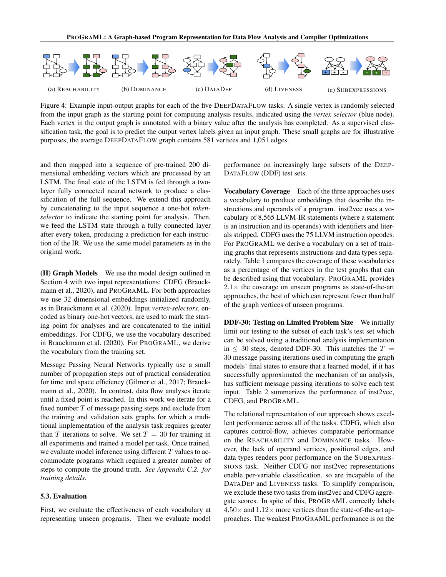

Figure 4: Example input-output graphs for each of the five DEEPDATAFLOW tasks. A single vertex is randomly selected from the input graph as the starting point for computing analysis results, indicated using the *vertex selector* (blue node). Each vertex in the output graph is annotated with a binary value after the analysis has completed. As a supervised classification task, the goal is to predict the output vertex labels given an input graph. These small graphs are for illustrative purposes, the average DEEPDATAFLOW graph contains 581 vertices and 1,051 edges.

and then mapped into a sequence of pre-trained 200 dimensional embedding vectors which are processed by an LSTM. The final state of the LSTM is fed through a twolayer fully connected neural network to produce a classification of the full sequence. We extend this approach by concatenating to the input sequence a one-hot *tokenselector* to indicate the starting point for analysis. Then, we feed the LSTM state through a fully connected layer after every token, producing a prediction for each instruction of the IR. We use the same model parameters as in the original work.

(II) Graph Models We use the model design outlined in Section 4 with two input representations: CDFG (Brauckmann et al., 2020), and PROGRAML. For both approaches we use 32 dimensional embeddings initialized randomly, as in Brauckmann et al. (2020). Input *vertex-selectors*, encoded as binary one-hot vectors, are used to mark the starting point for analyses and are concatenated to the initial embeddings. For CDFG, we use the vocabulary described in Brauckmann et al. (2020). For PROGRAML, we derive the vocabulary from the training set.

Message Passing Neural Networks typically use a small number of propagation steps out of practical consideration for time and space efficiency (Gilmer et al., 2017; Brauckmann et al., 2020). In contrast, data flow analyses iterate until a fixed point is reached. In this work we iterate for a fixed number  $T$  of message passing steps and exclude from the training and validation sets graphs for which a traditional implementation of the analysis task requires greater than T iterations to solve. We set  $T = 30$  for training in all experiments and trained a model per task. Once trained, we evaluate model inference using different  $T$  values to accommodate programs which required a greater number of steps to compute the ground truth. *See Appendix C.2. for training details.*

#### 5.3. Evaluation

First, we evaluate the effectiveness of each vocabulary at representing unseen programs. Then we evaluate model performance on increasingly large subsets of the DEEP-DATAFLOW (DDF) test sets.

Vocabulary Coverage Each of the three approaches uses a vocabulary to produce embeddings that describe the instructions and operands of a program. inst2vec uses a vocabulary of 8,565 LLVM-IR statements (where a statement is an instruction and its operands) with identifiers and literals stripped. CDFG uses the 75 LLVM instruction opcodes. For PROGRAML we derive a vocabulary on a set of training graphs that represents instructions and data types separately. Table 1 compares the coverage of these vocabularies as a percentage of the vertices in the test graphs that can be described using that vocabulary. PROGRAML provides  $2.1\times$  the coverage on unseen programs as state-of-the-art approaches, the best of which can represent fewer than half of the graph vertices of unseen programs.

DDF-30: Testing on Limited Problem Size We initially limit our testing to the subset of each task's test set which can be solved using a traditional analysis implementation in  $\leq$  30 steps, denoted DDF-30. This matches the  $T =$ 30 message passing iterations used in computing the graph models' final states to ensure that a learned model, if it has successfully approximated the mechanism of an analysis, has sufficient message passing iterations to solve each test input. Table 2 summarizes the performance of inst2vec, CDFG, and PROGRAML.

The relational representation of our approach shows excellent performance across all of the tasks. CDFG, which also captures control-flow, achieves comparable performance on the REACHABILITY and DOMINANCE tasks. However, the lack of operand vertices, positional edges, and data types renders poor performance on the SUBEXPRES-SIONS task. Neither CDFG nor inst2vec representations enable per-variable classification, so are incapable of the DATADEP and LIVENESS tasks. To simplify comparison, we exclude these two tasks from inst2vec and CDFG aggregate scores. In spite of this, PROGRAML correctly labels  $4.50\times$  and  $1.12\times$  more vertices than the state-of-the-art approaches. The weakest PROGRAML performance is on the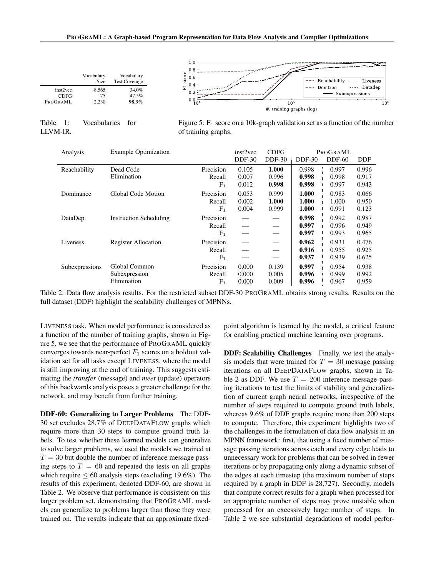

Table 1: Vocabularies for LLVM-IR.

Figure 5:  $F_1$  score on a 10k-graph validation set as a function of the number of training graphs.

| $DDF-30$<br>$DDF-30$<br>$DDF-60$<br><b>DDF-30</b>                                | <b>DDF</b> |
|----------------------------------------------------------------------------------|------------|
| Dead Code<br>Precision<br>1.000<br>0.105<br>0.998<br>Reachability<br>0.997       | 0.996      |
| Elimination<br>0.998<br>0.998<br>0.007<br>0.996<br>Recall                        | 0.917      |
| 0.998<br>0.998<br>$F_1$<br>0.012<br>0.997                                        | 0.943      |
| Global Code Motion<br>1.000<br>Precision<br>0.053<br>0.999<br>0.983<br>Dominance | 0.066      |
| 1.000<br>1.000<br>1.000<br>0.002<br>Recall                                       | 0.950      |
| 1.000<br>F <sub>1</sub><br>0.004<br>0.999<br>0.991                               | 0.123      |
| 0.998<br><b>Instruction Scheduling</b><br>Precision<br>0.992<br>DataDep          | 0.987      |
| 0.997<br>0.996<br>Recall                                                         | 0.949      |
| 0.997<br>$F_1$<br>0.993                                                          | 0.965      |
| Precision<br>0.962<br>0.931<br>Liveness<br><b>Register Allocation</b>            | 0.476      |
| 0.916<br>0.955<br>Recall                                                         | 0.925      |
| 0.937<br>$F_1$<br>0.939                                                          | 0.625      |
| Precision<br>0.000<br>0.997<br>0.139<br>Subexpressions<br>Global Common<br>0.954 | 0.938      |
| 0.996<br>0.005<br>0.999<br>Subexpression<br>0.000<br>Recall                      | 0.992      |
| Elimination<br>0.996<br>0.009<br>0.967<br>F <sub>1</sub><br>0.000                | 0.959      |

Table 2: Data flow analysis results. For the restricted subset DDF-30 PROGRAML obtains strong results. Results on the full dataset (DDF) highlight the scalability challenges of MPNNs.

LIVENESS task. When model performance is considered as a function of the number of training graphs, shown in Figure 5, we see that the performance of PROGRAML quickly converges towards near-perfect  $F_1$  scores on a holdout validation set for all tasks except LIVENESS, where the model is still improving at the end of training. This suggests estimating the *transfer* (message) and *meet* (update) operators of this backwards analysis poses a greater challenge for the network, and may benefit from further training.

DDF-60: Generalizing to Larger Problems The DDF-30 set excludes 28.7% of DEEPDATAFLOW graphs which require more than 30 steps to compute ground truth labels. To test whether these learned models can generalize to solve larger problems, we used the models we trained at  $T = 30$  but double the number of inference message passing steps to  $T = 60$  and repeated the tests on all graphs which require  $\leq 60$  analysis steps (excluding 19.6%). The results of this experiment, denoted DDF-60, are shown in Table 2. We observe that performance is consistent on this larger problem set, demonstrating that PROGRAML models can generalize to problems larger than those they were trained on. The results indicate that an approximate fixedpoint algorithm is learned by the model, a critical feature for enabling practical machine learning over programs.

DDF: Scalability Challenges Finally, we test the analysis models that were trained for  $T = 30$  message passing iterations on all DEEPDATAFLOW graphs, shown in Table 2 as DDF. We use  $T = 200$  inference message passing iterations to test the limits of stability and generalization of current graph neural networks, irrespective of the number of steps required to compute ground truth labels, whereas 9.6% of DDF graphs require more than 200 steps to compute. Therefore, this experiment highlights two of the challenges in the formulation of data flow analysis in an MPNN framework: first, that using a fixed number of message passing iterations across each and every edge leads to unnecessary work for problems that can be solved in fewer iterations or by propagating only along a dynamic subset of the edges at each timestep (the maximum number of steps required by a graph in DDF is 28,727). Secondly, models that compute correct results for a graph when processed for an appropriate number of steps may prove unstable when processed for an excessively large number of steps. In Table 2 we see substantial degradations of model perfor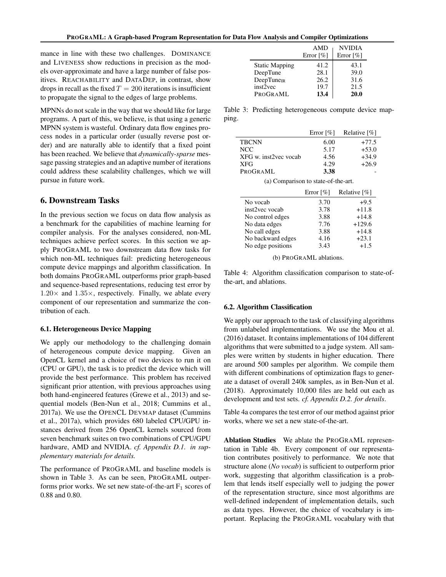mance in line with these two challenges. DOMINANCE and LIVENESS show reductions in precision as the models over-approximate and have a large number of false positives. REACHABILITY and DATADEP, in contrast, show drops in recall as the fixed  $T = 200$  iterations is insufficient to propagate the signal to the edges of large problems.

MPNNs do not scale in the way that we should like for large programs. A part of this, we believe, is that using a generic MPNN system is wasteful. Ordinary data flow engines process nodes in a particular order (usually reverse post order) and are naturally able to identify that a fixed point has been reached. We believe that *dynamically-sparse* message passing strategies and an adaptive number of iterations could address these scalability challenges, which we will pursue in future work.

#### 6. Downstream Tasks

In the previous section we focus on data flow analysis as a benchmark for the capabilities of machine learning for compiler analysis. For the analyses considered, non-ML techniques achieve perfect scores. In this section we apply PROGRAML to two downstream data flow tasks for which non-ML techniques fail: predicting heterogeneous compute device mappings and algorithm classification. In both domains PROGRAML outperforms prior graph-based and sequence-based representations, reducing test error by  $1.20\times$  and  $1.35\times$ , respectively. Finally, we ablate every component of our representation and summarize the contribution of each.

#### 6.1. Heterogeneous Device Mapping

We apply our methodology to the challenging domain of heterogeneous compute device mapping. Given an OpenCL kernel and a choice of two devices to run it on (CPU or GPU), the task is to predict the device which will provide the best performance. This problem has received significant prior attention, with previous approaches using both hand-engineered features (Grewe et al., 2013) and sequential models (Ben-Nun et al., 2018; Cummins et al., 2017a). We use the OPENCL DEVMAP dataset (Cummins et al., 2017a), which provides 680 labeled CPU/GPU instances derived from 256 OpenCL kernels sourced from seven benchmark suites on two combinations of CPU/GPU hardware, AMD and NVIDIA. *cf. Appendix D.1. in supplementary materials for details.*

The performance of PROGRAML and baseline models is shown in Table 3. As can be seen, PROGRAML outperforms prior works. We set new state-of-the-art  $F_1$  scores of 0.88 and 0.80.

|                       | <b>AMD</b><br>Error $\lceil \% \rceil$ | <b>NVIDIA</b><br>Error $\lceil \% \rceil$ |
|-----------------------|----------------------------------------|-------------------------------------------|
| <b>Static Mapping</b> | 41.2                                   | 43.1                                      |
| DeepTune              | 28.1                                   | 39.0                                      |
| $DeepTune_{IR}$       | 26.2                                   | 31.6                                      |
| inst2vec              | 19.7                                   | 21.5                                      |
| PROGRAML              | 13.4                                   | 20.0                                      |

Table 3: Predicting heterogeneous compute device mapping.

|                                          | Error $\lceil \% \rceil$ | Relative $[\%]$ |
|------------------------------------------|--------------------------|-----------------|
| <b>TBCNN</b>                             | 6.00                     | $+77.5$         |
| <b>NCC</b>                               | 5.17                     | $+53.0$         |
| XFG w. inst2vec vocab                    | 4.56                     | $+34.9$         |
| XFG                                      | 4.29                     | $+26.9$         |
| PROGRAML                                 | 3.38                     |                 |
| (a) Comparison to state-of-the-art.      |                          |                 |
| Relative $\lceil \% \rceil$<br>Error [%] |                          |                 |

|                   | Error $\lceil\% \rceil$ | Relative [%] |
|-------------------|-------------------------|--------------|
| No vocab          | 3.70                    | $+9.5$       |
| inst2vec vocab    | 3.78                    | $+11.8$      |
| No control edges  | 3.88                    | $+14.8$      |
| No data edges     | 7.76                    | $+129.6$     |
| No call edges     | 3.88                    | $+14.8$      |
| No backward edges | 4.16                    | $+23.1$      |
| No edge positions | 3.43                    | $+1.5$       |
|                   |                         |              |

(b) PROGRAML ablations.

Table 4: Algorithm classification comparison to state-ofthe-art, and ablations.

#### 6.2. Algorithm Classification

We apply our approach to the task of classifying algorithms from unlabeled implementations. We use the Mou et al. (2016) dataset. It contains implementations of 104 different algorithms that were submitted to a judge system. All samples were written by students in higher education. There are around 500 samples per algorithm. We compile them with different combinations of optimization flags to generate a dataset of overall 240k samples, as in Ben-Nun et al. (2018). Approximately 10,000 files are held out each as development and test sets. *cf. Appendix D.2. for details*.

Table 4a compares the test error of our method against prior works, where we set a new state-of-the-art.

Ablation Studies We ablate the PROGRAML representation in Table 4b. Every component of our representation contributes positively to performance. We note that structure alone (*No vocab*) is sufficient to outperform prior work, suggesting that algorithm classification is a problem that lends itself especially well to judging the power of the representation structure, since most algorithms are well-defined independent of implementation details, such as data types. However, the choice of vocabulary is important. Replacing the PROGRAML vocabulary with that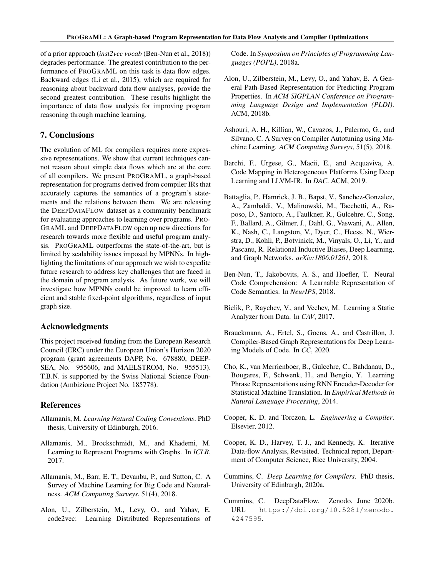of a prior approach (*inst2vec vocab* (Ben-Nun et al., 2018)) degrades performance. The greatest contribution to the performance of PROGRAML on this task is data flow edges. Backward edges (Li et al., 2015), which are required for reasoning about backward data flow analyses, provide the second greatest contribution. These results highlight the importance of data flow analysis for improving program reasoning through machine learning.

#### 7. Conclusions

The evolution of ML for compilers requires more expressive representations. We show that current techniques cannot reason about simple data flows which are at the core of all compilers. We present PROGRAML, a graph-based representation for programs derived from compiler IRs that accurately captures the semantics of a program's statements and the relations between them. We are releasing the DEEPDATAFLOW dataset as a community benchmark for evaluating approaches to learning over programs. PRO-GRAML and DEEPDATAFLOW open up new directions for research towards more flexible and useful program analysis. PROGRAML outperforms the state-of-the-art, but is limited by scalability issues imposed by MPNNs. In highlighting the limitations of our approach we wish to expedite future research to address key challenges that are faced in the domain of program analysis. As future work, we will investigate how MPNNs could be improved to learn efficient and stable fixed-point algorithms, regardless of input graph size.

#### Acknowledgments

This project received funding from the European Research Council (ERC) under the European Union's Horizon 2020 program (grant agreements DAPP, No. 678880, DEEP-SEA, No. 955606, and MAELSTROM, No. 955513). T.B.N. is supported by the Swiss National Science Foundation (Ambizione Project No. 185778).

#### References

- Allamanis, M. *Learning Natural Coding Conventions*. PhD thesis, University of Edinburgh, 2016.
- Allamanis, M., Brockschmidt, M., and Khademi, M. Learning to Represent Programs with Graphs. In *ICLR*, 2017.
- Allamanis, M., Barr, E. T., Devanbu, P., and Sutton, C. A Survey of Machine Learning for Big Code and Naturalness. *ACM Computing Surveys*, 51(4), 2018.
- Alon, U., Zilberstein, M., Levy, O., and Yahav, E. code2vec: Learning Distributed Representations of

Code. In *Symposium on Principles of Programming Languages (POPL)*, 2018a.

- Alon, U., Zilberstein, M., Levy, O., and Yahav, E. A General Path-Based Representation for Predicting Program Properties. In *ACM SIGPLAN Conference on Programming Language Design and Implementation (PLDI)*. ACM, 2018b.
- Ashouri, A. H., Killian, W., Cavazos, J., Palermo, G., and Silvano, C. A Survey on Compiler Autotuning using Machine Learning. *ACM Computing Surveys*, 51(5), 2018.
- Barchi, F., Urgese, G., Macii, E., and Acquaviva, A. Code Mapping in Heterogeneous Platforms Using Deep Learning and LLVM-IR. In *DAC*. ACM, 2019.
- Battaglia, P., Hamrick, J. B., Bapst, V., Sanchez-Gonzalez, A., Zambaldi, V., Malinowski, M., Tacchetti, A., Raposo, D., Santoro, A., Faulkner, R., Gulcehre, C., Song, F., Ballard, A., Gilmer, J., Dahl, G., Vaswani, A., Allen, K., Nash, C., Langston, V., Dyer, C., Heess, N., Wierstra, D., Kohli, P., Botvinick, M., Vinyals, O., Li, Y., and Pascanu, R. Relational Inductive Biases, Deep Learning, and Graph Networks. *arXiv:1806.01261*, 2018.
- Ben-Nun, T., Jakobovits, A. S., and Hoefler, T. Neural Code Comprehension: A Learnable Representation of Code Semantics. In *NeurIPS*, 2018.
- Bielik, P., Raychev, V., and Vechev, M. Learning a Static Analyzer from Data. In *CAV*, 2017.
- Brauckmann, A., Ertel, S., Goens, A., and Castrillon, J. Compiler-Based Graph Representations for Deep Learning Models of Code. In *CC*, 2020.
- Cho, K., van Merrienboer, B., Gulcehre, C., Bahdanau, D., Bougares, F., Schwenk, H., and Bengio, Y. Learning Phrase Representations using RNN Encoder-Decoder for Statistical Machine Translation. In *Empirical Methods in Natural Language Processing*, 2014.
- Cooper, K. D. and Torczon, L. *Engineering a Compiler*. Elsevier, 2012.
- Cooper, K. D., Harvey, T. J., and Kennedy, K. Iterative Data-flow Analysis, Revisited. Technical report, Department of Computer Science, Rice University, 2004.
- Cummins, C. *Deep Learning for Compilers*. PhD thesis, University of Edinburgh, 2020a.
- Cummins, C. DeepDataFlow. Zenodo, June 2020b. URL https://doi.org/10.5281/zenodo. 4247595.